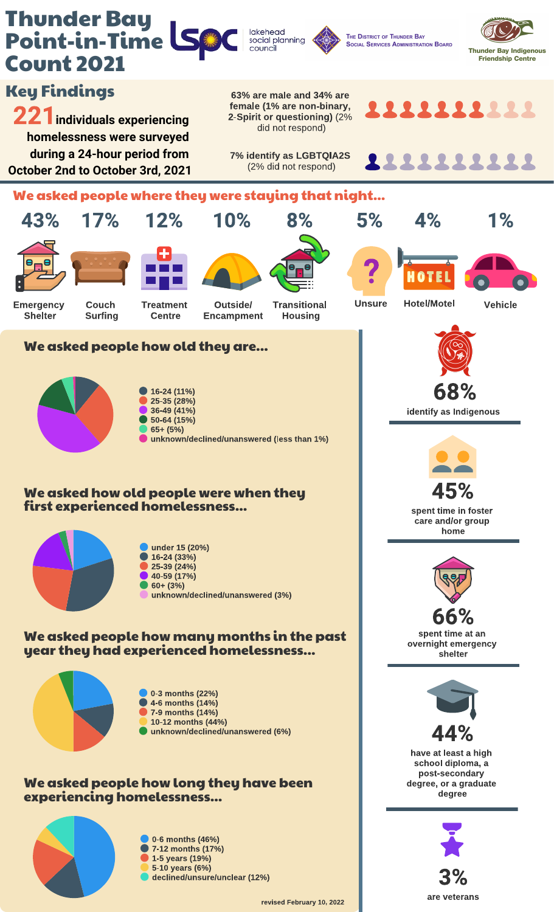

0-6 months (46%) **7-12 months (17%)** 1-5 years (19%) 5-10 years (6%) declined/unsure/unclear (12%)

3% are veterans